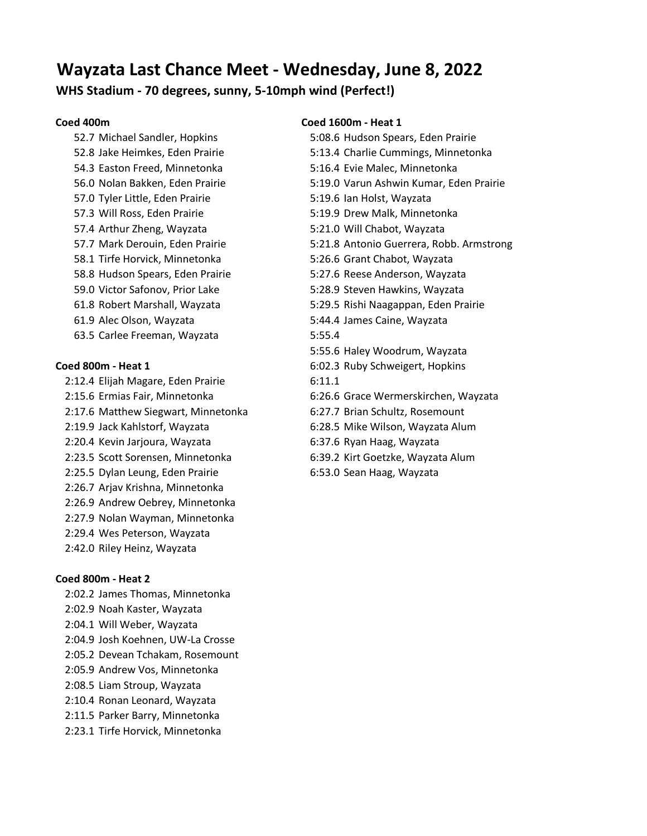# **Wayzata Last Chance Meet - Wednesday, June 8, 2022**

# **WHS Stadium - 70 degrees, sunny, 5-10mph wind (Perfect!)**

54.3 Easton Freed, Minnetonka 5:16.4 Evie Malec, Minnetonka 57.0 Tyler Little, Eden Prairie 5:19.6 Ian Holst, Wayzata 57.3 Will Ross, Eden Prairie 5:19.9 Drew Malk, Minnetonka 57.4 Arthur Zheng, Wayzata 5:21.0 Will Chabot, Wayzata 58.1 Tirfe Horvick, Minnetonka 5:26.6 Grant Chabot, Wayzata 59.0 Victor Safonov, Prior Lake 5:28.9 Steven Hawkins, Wayzata 61.9 Alec Olson, Wayzata 5:44.4 James Caine, Wayzata 63.5 Carlee Freeman, Wayzata 5:55.4

2:12.4 Elijah Magare, Eden Prairie 6:11.1 2:17.6 Matthew Siegwart, Minnetonka 6:27.7 Brian Schultz, Rosemount 2:19.9 Jack Kahlstorf, Wayzata 6:28.5 Mike Wilson, Wayzata Alum 2:20.4 Kevin Jarjoura, Wayzata 6:37.6 Ryan Haag, Wayzata 2:23.5 Scott Sorensen, Minnetonka 6:39.2 Kirt Goetzke, Wayzata Alum 2:25.5 Dylan Leung, Eden Prairie 6:53.0 Sean Haag, Wayzata 2:26.7 Arjav Krishna, Minnetonka 2:26.9 Andrew Oebrey, Minnetonka 2:27.9 Nolan Wayman, Minnetonka 2:29.4 Wes Peterson, Wayzata 2:42.0 Riley Heinz, Wayzata

### **Coed 800m - Heat 2**

- 2:02.2 James Thomas, Minnetonka 2:02.9 Noah Kaster, Wayzata 2:04.1 Will Weber, Wayzata
- 2:04.9 Josh Koehnen, UW-La Crosse
- 2:05.2 Devean Tchakam, Rosemount
- 2:05.9 Andrew Vos, Minnetonka 2:08.5 Liam Stroup, Wayzata
- 2:10.4 Ronan Leonard, Wayzata
- 2:11.5 Parker Barry, Minnetonka
- 2:23.1 Tirfe Horvick, Minnetonka

## **Coed 400m Coed 1600m - Heat 1**

- 52.7 Michael Sandler, Hopkins 5:08.6 Hudson Spears, Eden Prairie 52.8 Jake Heimkes, Eden Prairie 5:13.4 Charlie Cummings, Minnetonka 56.0 Nolan Bakken, Eden Prairie 5:19.0 Varun Ashwin Kumar, Eden Prairie 57.7 Mark Derouin, Eden Prairie 5:21.8 Antonio Guerrera, Robb. Armstrong 58.8 Hudson Spears, Eden Prairie 5:27.6 Reese Anderson, Wayzata 61.8 Robert Marshall, Wayzata 5:29.5 Rishi Naagappan, Eden Prairie 5:55.6 Haley Woodrum, Wayzata **Coed 800m - Heat 1** 6:02.3 Ruby Schweigert, Hopkins 2:15.6 Ermias Fair, Minnetonka 6:26.6 Grace Wermerskirchen, Wayzata
	-
	-